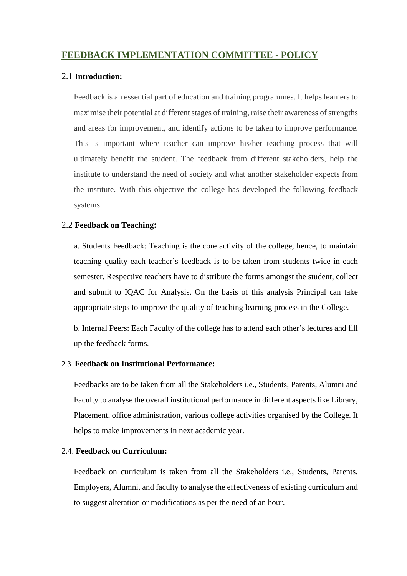# **FEEDBACK IMPLEMENTATION COMMITTEE - POLICY**

#### 2.1 **Introduction:**

Feedback is an essential part of education and training programmes. It helps learners to maximise their potential at different stages of training, raise their awareness of strengths and areas for improvement, and identify actions to be taken to improve performance. This is important where teacher can improve his/her teaching process that will ultimately benefit the student. The feedback from different stakeholders, help the institute to understand the need of society and what another stakeholder expects from the institute. With this objective the college has developed the following feedback systems

### 2.2 **Feedback on Teaching:**

a. Students Feedback: Teaching is the core activity of the college, hence, to maintain teaching quality each teacher's feedback is to be taken from students twice in each semester. Respective teachers have to distribute the forms amongst the student, collect and submit to IQAC for Analysis. On the basis of this analysis Principal can take appropriate steps to improve the quality of teaching learning process in the College.

b. Internal Peers: Each Faculty of the college has to attend each other's lectures and fill up the feedback forms.

## 2.3 **Feedback on Institutional Performance:**

Feedbacks are to be taken from all the Stakeholders i.e., Students, Parents, Alumni and Faculty to analyse the overall institutional performance in different aspects like Library, Placement, office administration, various college activities organised by the College. It helps to make improvements in next academic year.

#### 2.4. **Feedback on Curriculum:**

Feedback on curriculum is taken from all the Stakeholders i.e., Students, Parents, Employers, Alumni, and faculty to analyse the effectiveness of existing curriculum and to suggest alteration or modifications as per the need of an hour.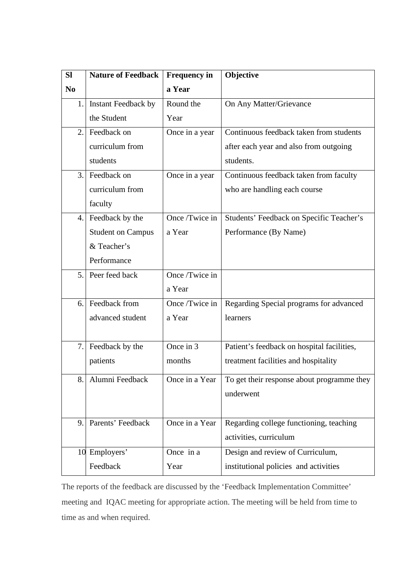| <b>SI</b>      | <b>Nature of Feedback</b> | <b>Frequency in</b> | Objective                                  |
|----------------|---------------------------|---------------------|--------------------------------------------|
| N <sub>0</sub> |                           | a Year              |                                            |
| 1.             | Instant Feedback by       | Round the           | On Any Matter/Grievance                    |
|                | the Student               | Year                |                                            |
| 2.             | Feedback on               | Once in a year      | Continuous feedback taken from students    |
|                | curriculum from           |                     | after each year and also from outgoing     |
|                | students                  |                     | students.                                  |
| 3.             | Feedback on               | Once in a year      | Continuous feedback taken from faculty     |
|                | curriculum from           |                     | who are handling each course               |
|                | faculty                   |                     |                                            |
| 4.             | Feedback by the           | Once /Twice in      | Students' Feedback on Specific Teacher's   |
|                | <b>Student on Campus</b>  | a Year              | Performance (By Name)                      |
|                | & Teacher's               |                     |                                            |
|                | Performance               |                     |                                            |
| 5.             | Peer feed back            | Once /Twice in      |                                            |
|                |                           | a Year              |                                            |
| 6.             | Feedback from             | Once /Twice in      | Regarding Special programs for advanced    |
|                | advanced student          | a Year              | learners                                   |
|                |                           |                     |                                            |
| 7.             | Feedback by the           | Once in 3           | Patient's feedback on hospital facilities, |
|                | patients                  | months              | treatment facilities and hospitality       |
| 8.             | Alumni Feedback           | Once in a Year      | To get their response about programme they |
|                |                           |                     | underwent                                  |
|                |                           |                     |                                            |
| 9.             | Parents' Feedback         | Once in a Year      | Regarding college functioning, teaching    |
|                |                           |                     | activities, curriculum                     |
|                | 10 Employers'             | Once in a           | Design and review of Curriculum,           |
|                |                           |                     |                                            |
|                | Feedback                  | Year                | institutional policies and activities      |

The reports of the feedback are discussed by the 'Feedback Implementation Committee' meeting and IQAC meeting for appropriate action. The meeting will be held from time to time as and when required.